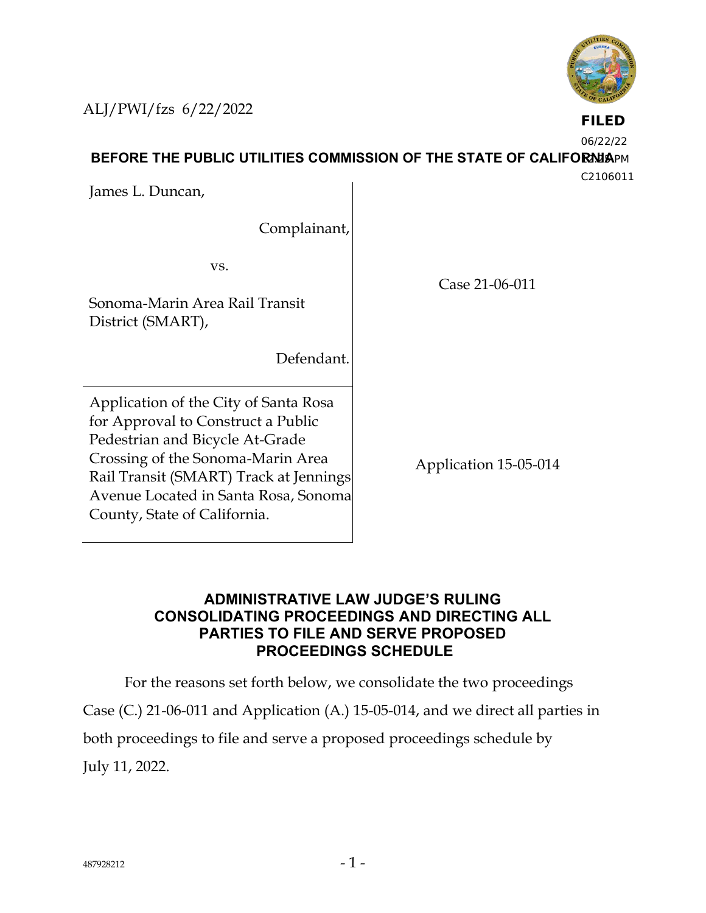**BEFORE THE PUBLIC UTILITIES COMMISSION OF THE STATE OF CALIFORNIAPM** James L. Duncan,

ALJ/PWI/fzs 6/22/2022

Complainant,

vs.

Sonoma-Marin Area Rail Transit District (SMART),

Defendant.

Application of the City of Santa Rosa for Approval to Construct a Public Pedestrian and Bicycle At-Grade Crossing of the Sonoma-Marin Area Rail Transit (SMART) Track at Jennings Avenue Located in Santa Rosa, Sonoma County, State of California.

Application 15-05-014

## **ADMINISTRATIVE LAW JUDGE'S RULING CONSOLIDATING PROCEEDINGS AND DIRECTING ALL PARTIES TO FILE AND SERVE PROPOSED PROCEEDINGS SCHEDULE**

For the reasons set forth below, we consolidate the two proceedings

Case (C.) 21-06-011 and Application (A.) 15-05-014, and we direct all parties in

both proceedings to file and serve a proposed proceedings schedule by

July 11, 2022.



Case 21-06-011

**FILED**

06/22/22

C2106011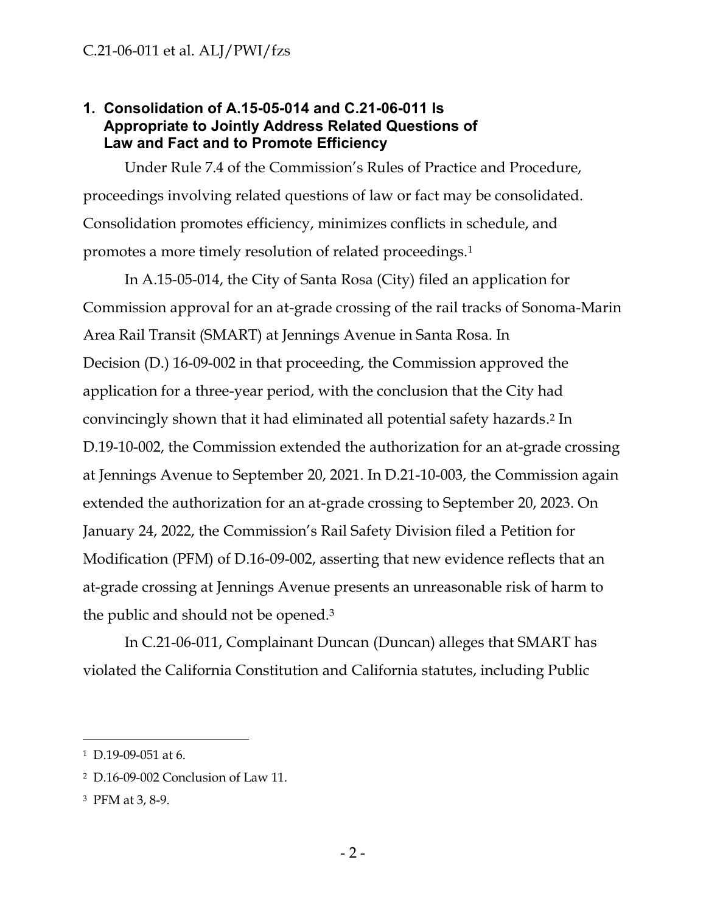### **1. Consolidation of A.15-05-014 and C.21-06-011 Is Appropriate to Jointly Address Related Questions of Law and Fact and to Promote Efficiency**

Under Rule 7.4 of the Commission's Rules of Practice and Procedure, proceedings involving related questions of law or fact may be consolidated. Consolidation promotes efficiency, minimizes conflicts in schedule, and promotes a more timely resolution of related proceedings.<sup>1</sup>

In A.15-05-014, the City of Santa Rosa (City) filed an application for Commission approval for an at-grade crossing of the rail tracks of Sonoma-Marin Area Rail Transit (SMART) at Jennings Avenue in Santa Rosa. In Decision (D.) 16-09-002 in that proceeding, the Commission approved the application for a three-year period, with the conclusion that the City had convincingly shown that it had eliminated all potential safety hazards. <sup>2</sup> In D.19-10-002, the Commission extended the authorization for an at-grade crossing at Jennings Avenue to September 20, 2021. In D.21-10-003, the Commission again extended the authorization for an at-grade crossing to September 20, 2023. On January 24, 2022, the Commission's Rail Safety Division filed a Petition for Modification (PFM) of D.16-09-002, asserting that new evidence reflects that an at-grade crossing at Jennings Avenue presents an unreasonable risk of harm to the public and should not be opened.<sup>3</sup>

In C.21-06-011, Complainant Duncan (Duncan) alleges that SMART has violated the California Constitution and California statutes, including Public

<sup>1</sup> D.19-09-051 at 6.

<sup>2</sup> D.16-09-002 Conclusion of Law 11.

<sup>3</sup> PFM at 3, 8-9.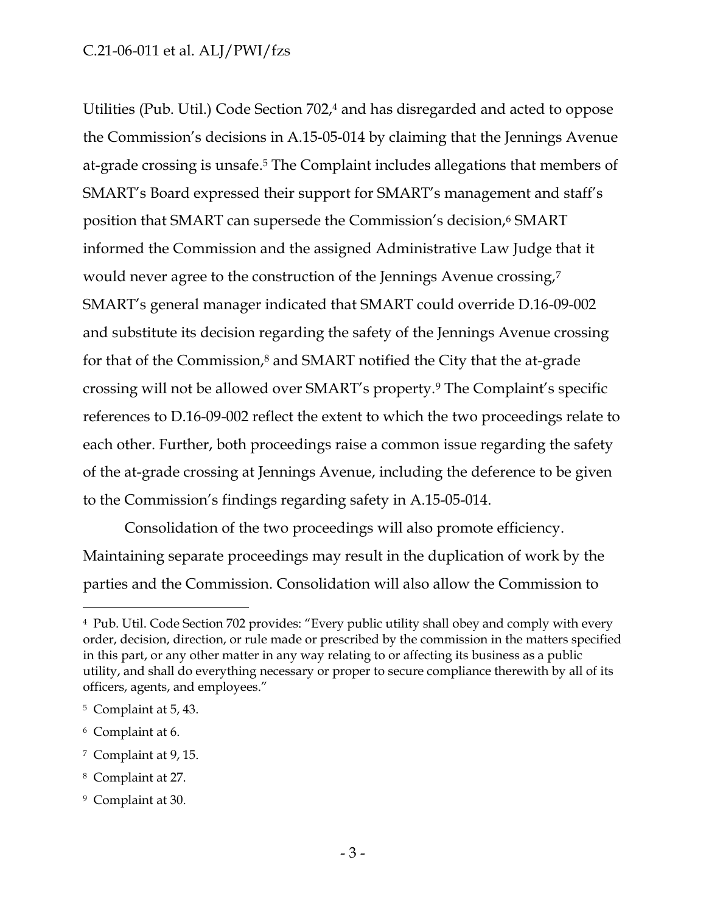#### C.21-06-011 et al. ALJ/PWI/fzs

Utilities (Pub. Util.) Code Section 702, <sup>4</sup> and has disregarded and acted to oppose the Commission's decisions in A.15-05-014 by claiming that the Jennings Avenue at-grade crossing is unsafe. <sup>5</sup> The Complaint includes allegations that members of SMART's Board expressed their support for SMART's management and staff's position that SMART can supersede the Commission's decision,<sup>6</sup> SMART informed the Commission and the assigned Administrative Law Judge that it would never agree to the construction of the Jennings Avenue crossing,<sup>7</sup> SMART's general manager indicated that SMART could override D.16-09-002 and substitute its decision regarding the safety of the Jennings Avenue crossing for that of the Commission,<sup>8</sup> and SMART notified the City that the at-grade crossing will not be allowed over SMART's property.<sup>9</sup> The Complaint's specific references to D.16-09-002 reflect the extent to which the two proceedings relate to each other. Further, both proceedings raise a common issue regarding the safety of the at-grade crossing at Jennings Avenue, including the deference to be given to the Commission's findings regarding safety in A.15-05-014.

Consolidation of the two proceedings will also promote efficiency. Maintaining separate proceedings may result in the duplication of work by the parties and the Commission. Consolidation will also allow the Commission to

<sup>4</sup> Pub. Util. Code Section 702 provides: "Every public utility shall obey and comply with every order, decision, direction, or rule made or prescribed by the commission in the matters specified in this part, or any other matter in any way relating to or affecting its business as a public utility, and shall do everything necessary or proper to secure compliance therewith by all of its officers, agents, and employees."

<sup>5</sup> Complaint at 5, 43.

<sup>6</sup> Complaint at 6.

<sup>7</sup> Complaint at 9, 15.

<sup>8</sup> Complaint at 27.

<sup>9</sup> Complaint at 30.